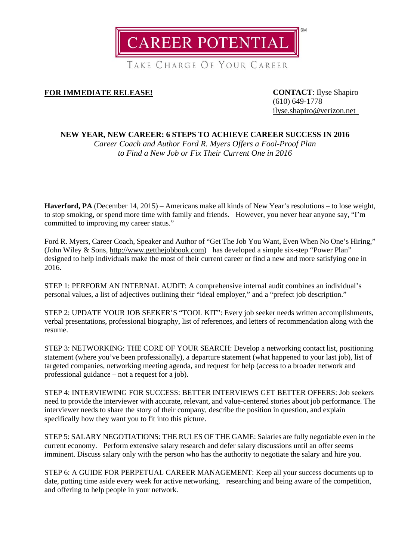

TAKE CHARGE OF YOUR CAREER

# **FOR IMMEDIATE RELEASE! CONTACT**: Ilyse Shapiro

(610) 649-1778 [ilyse.shapiro@verizon.net](mailto:ilyse.shapiro@verizon.net)

# **NEW YEAR, NEW CAREER: 6 STEPS TO ACHIEVE CAREER SUCCESS IN 2016**

*Career Coach and Author Ford R. Myers Offers a Fool-Proof Plan to Find a New Job or Fix Their Current One in 2016*

**Haverford, PA** (December 14, 2015) – Americans make all kinds of New Year's resolutions – to lose weight, to stop smoking, or spend more time with family and friends. However, you never hear anyone say, "I'm committed to improving my career status."

Ford R. Myers, Career Coach, Speaker and Author of "Get The Job You Want, Even When No One's Hiring," (John Wiley & Sons, [http://www.getthejobbook.com\)](http://www.getthejobbook.com/) has developed a simple six-step "Power Plan" designed to help individuals make the most of their current career or find a new and more satisfying one in 2016.

STEP 1: PERFORM AN INTERNAL AUDIT: A comprehensive internal audit combines an individual's personal values, a list of adjectives outlining their "ideal employer," and a "prefect job description."

STEP 2: UPDATE YOUR JOB SEEKER'S "TOOL KIT": Every job seeker needs written accomplishments, verbal presentations, professional biography, list of references, and letters of recommendation along with the resume.

STEP 3: NETWORKING: THE CORE OF YOUR SEARCH: Develop a networking contact list, positioning statement (where you've been professionally), a departure statement (what happened to your last job), list of targeted companies, networking meeting agenda, and request for help (access to a broader network and professional guidance – not a request for a job).

STEP 4: INTERVIEWING FOR SUCCESS: BETTER INTERVIEWS GET BETTER OFFERS: Job seekers need to provide the interviewer with accurate, relevant, and value-centered stories about job performance. The interviewer needs to share the story of their company, describe the position in question, and explain specifically how they want you to fit into this picture.

STEP 5: SALARY NEGOTIATIONS: THE RULES OF THE GAME: Salaries are fully negotiable even in the current economy. Perform extensive salary research and defer salary discussions until an offer seems imminent. Discuss salary only with the person who has the authority to negotiate the salary and hire you.

STEP 6: A GUIDE FOR PERPETUAL CAREER MANAGEMENT: Keep all your success documents up to date, putting time aside every week for active networking, researching and being aware of the competition, and offering to help people in your network.